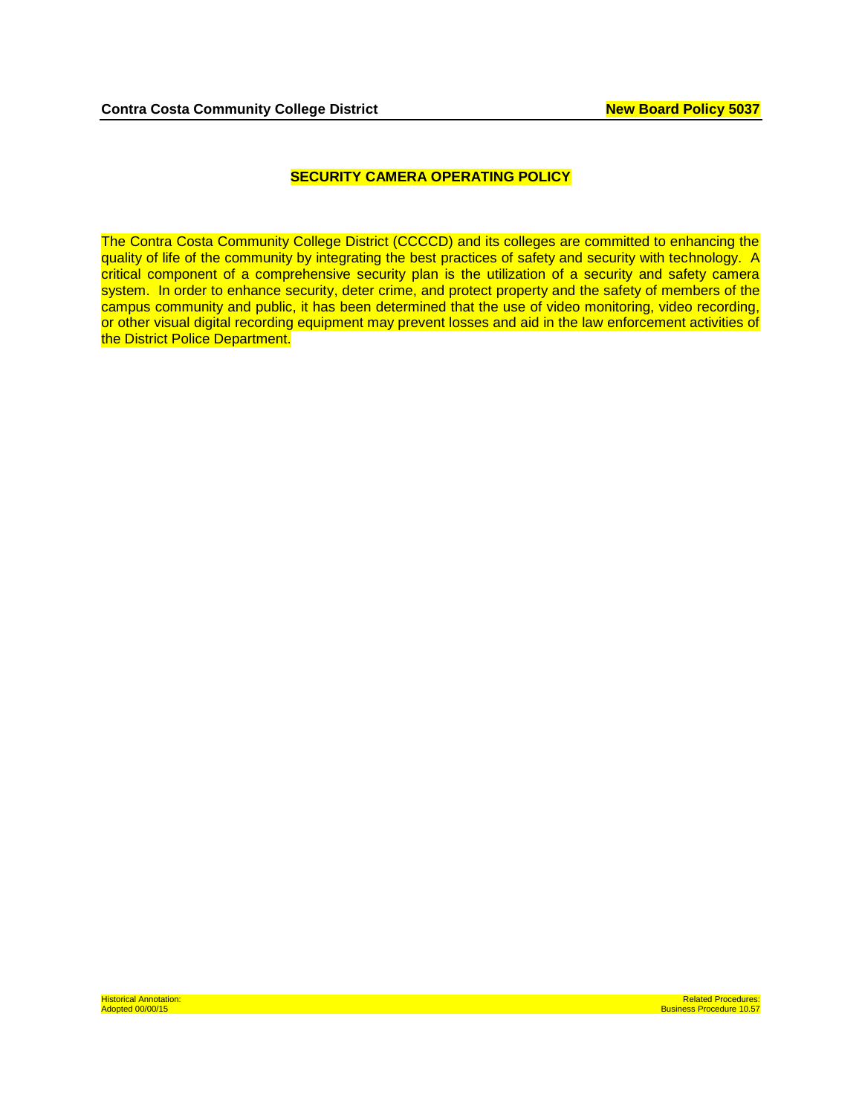## **SECURITY CAMERA OPERATING POLICY**

The Contra Costa Community College District (CCCCD) and its colleges are committed to enhancing the quality of life of the community by integrating the best practices of safety and security with technology. A critical component of a comprehensive security plan is the utilization of a security and safety camera system. In order to enhance security, deter crime, and protect property and the safety of members of the campus community and public, it has been determined that the use of video monitoring, video recording, or other visual digital recording equipment may prevent losses and aid in the law enforcement activities of the District Police Department.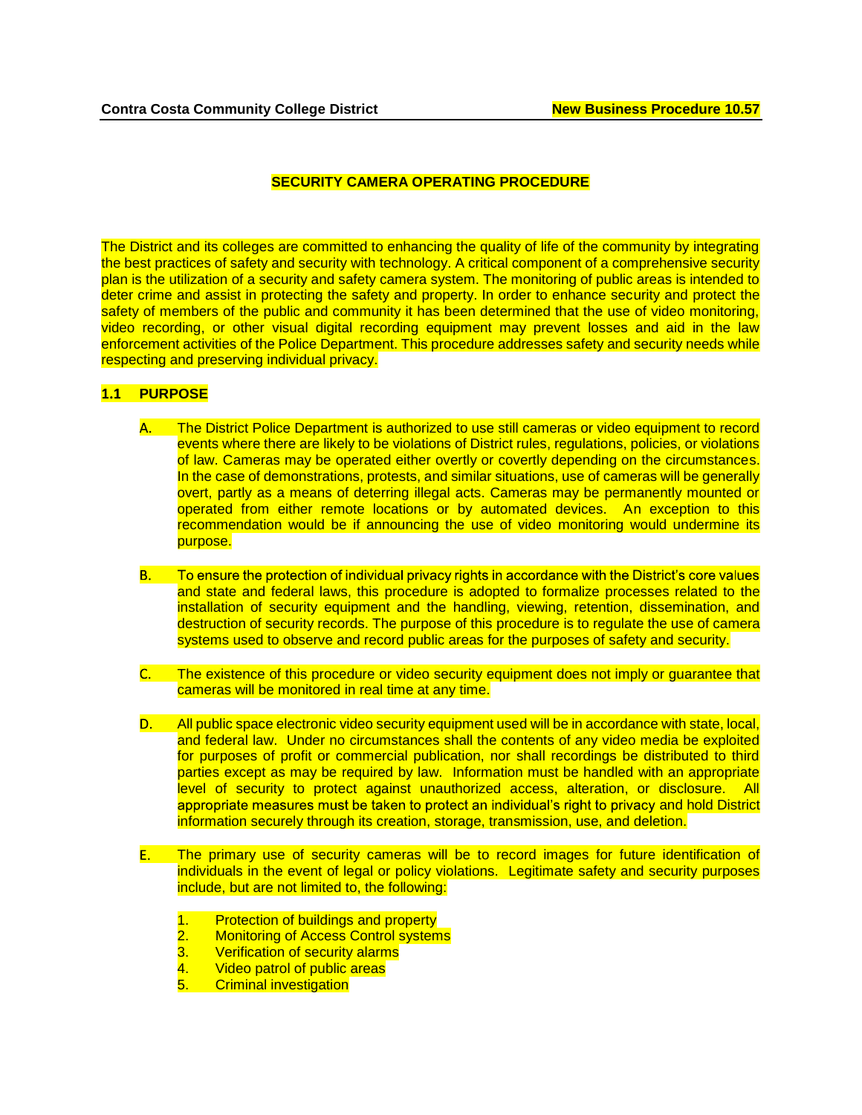# **SECURITY CAMERA OPERATING PROCEDURE**

The District and its colleges are committed to enhancing the quality of life of the community by integrating the best practices of safety and security with technology. A critical component of a comprehensive security plan is the utilization of a security and safety camera system. The monitoring of public areas is intended to deter crime and assist in protecting the safety and property. In order to enhance security and protect the safety of members of the public and community it has been determined that the use of video monitoring, video recording, or other visual digital recording equipment may prevent losses and aid in the law enforcement activities of the Police Department. This procedure addresses safety and security needs while respecting and preserving individual privacy.

## **1.1 PURPOSE**

- **A.** The District Police Department is authorized to use still cameras or video equipment to record events where there are likely to be violations of District rules, regulations, policies, or violations of law. Cameras may be operated either overtly or covertly depending on the circumstances. In the case of demonstrations, protests, and similar situations, use of cameras will be generally overt, partly as a means of deterring illegal acts. Cameras may be permanently mounted or operated from either remote locations or by automated devices. An exception to this recommendation would be if announcing the use of video monitoring would undermine its purpose.
- To ensure the protection of individual privacy rights in accordance with the District's core values **B.** and state and federal laws, this procedure is adopted to formalize processes related to the installation of security equipment and the handling, viewing, retention, dissemination, and destruction of security records. The purpose of this procedure is to regulate the use of camera systems used to observe and record public areas for the purposes of safety and security.
- C. The existence of this procedure or video security equipment does not imply or guarantee that cameras will be monitored in real time at any time.
- $D.$ All public space electronic video security equipment used will be in accordance with state, local, and federal law. Under no circumstances shall the contents of any video media be exploited for purposes of profit or commercial publication, nor shall recordings be distributed to third parties except as may be required by law. Information must be handled with an appropriate level of security to protect against unauthorized access, alteration, or disclosure. All appropriate measures must be taken to protect an individual's right to privacy and hold District information securely through its creation, storage, transmission, use, and deletion.
- The primary use of security cameras will be to record images for future identification of E. individuals in the event of legal or policy violations. Legitimate safety and security purposes include, but are not limited to, the following:
	-
	- 1. Protection of buildings and property<br>2. Monitoring of Access Control system<br>3. Verification of security alarms **Monitoring of Access Control systems**
	- **Verification of security alarms**
	- 4. Video patrol of public areas
	- 5. Criminal investigation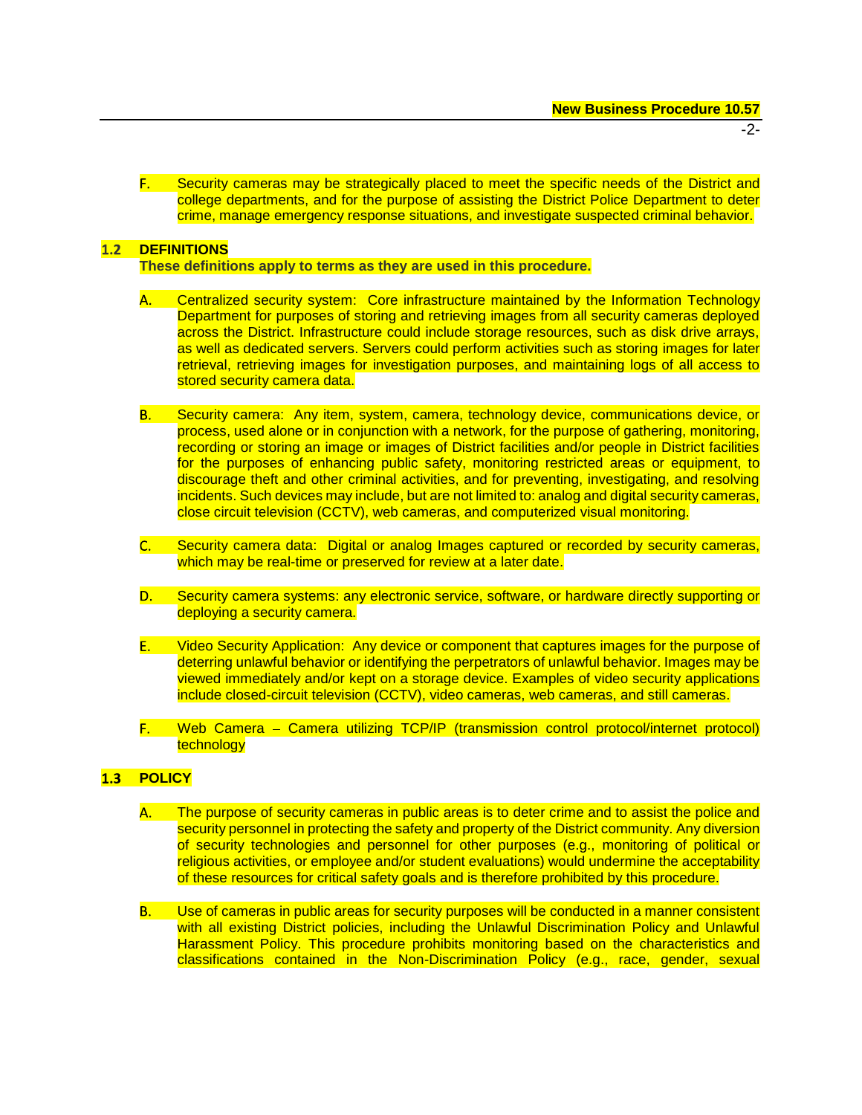- -2-
- F. Security cameras may be strategically placed to meet the specific needs of the District and college departments, and for the purpose of assisting the District Police Department to deter crime, manage emergency response situations, and investigate suspected criminal behavior.

#### $1.2$ **DEFINITIONS**

**These definitions apply to terms as they are used in this procedure.** 

- **A.** Centralized security system: Core infrastructure maintained by the Information Technology Department for purposes of storing and retrieving images from all security cameras deployed across the District. Infrastructure could include storage resources, such as disk drive arrays, as well as dedicated servers. Servers could perform activities such as storing images for later retrieval, retrieving images for investigation purposes, and maintaining logs of all access to stored security camera data.
- **B.** Security camera: Any item, system, camera, technology device, communications device, or process, used alone or in conjunction with a network, for the purpose of gathering, monitoring, recording or storing an image or images of District facilities and/or people in District facilities for the purposes of enhancing public safety, monitoring restricted areas or equipment, to discourage theft and other criminal activities, and for preventing, investigating, and resolving incidents. Such devices may include, but are not limited to: analog and digital security cameras, close circuit television (CCTV), web cameras, and computerized visual monitoring.
- $\overline{\mathsf{C}}$ . Security camera data: Digital or analog Images captured or recorded by security cameras, which may be real-time or preserved for review at a later date.
- Security camera systems: any electronic service, software, or hardware directly supporting or D. deploying a security camera.
- $E_{\rm{max}}$ Video Security Application: Any device or component that captures images for the purpose of deterring unlawful behavior or identifying the perpetrators of unlawful behavior. Images may be viewed immediately and/or kept on a storage device. Examples of video security applications include closed-circuit television (CCTV), video cameras, web cameras, and still cameras.
- F. Web Camera – Camera utilizing TCP/IP (transmission control protocol/internet protocol) technology

#### **1.3 POLICY**

- The purpose of security cameras in public areas is to deter crime and to assist the police and **A.** security personnel in protecting the safety and property of the District community. Any diversion of security technologies and personnel for other purposes (e.g., monitoring of political or religious activities, or employee and/or student evaluations) would undermine the acceptability of these resources for critical safety goals and is therefore prohibited by this procedure.
- **B.** Use of cameras in public areas for security purposes will be conducted in a manner consistent with all existing District policies, including the Unlawful Discrimination Policy and Unlawful Harassment Policy. This procedure prohibits monitoring based on the characteristics and classifications contained in the Non-Discrimination Policy (e.g., race, gender, sexual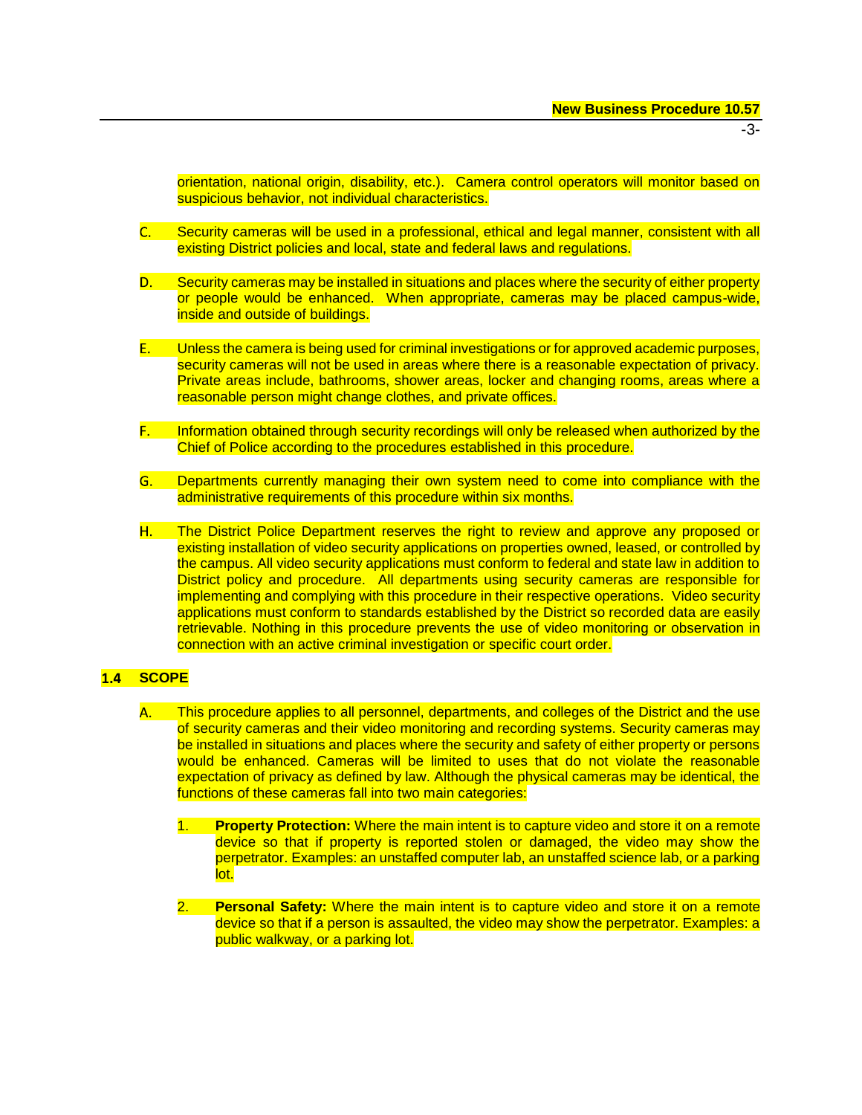orientation, national origin, disability, etc.). Camera control operators will monitor based on suspicious behavior, not individual characteristics.

- $\overline{\textsf{C}}$  . The  $\overline{\textsf{C}}$ Security cameras will be used in a professional, ethical and legal manner, consistent with all existing District policies and local, state and federal laws and regulations.
- Security cameras may be installed in situations and places where the security of either property  $\mathsf{D}.\ \blacksquare$ or people would be enhanced. When appropriate, cameras may be placed campus-wide, inside and outside of buildings.
- $E_{\rm{max}}$ Unless the camera is being used for criminal investigations or for approved academic purposes, security cameras will not be used in areas where there is a reasonable expectation of privacy. Private areas include, bathrooms, shower areas, locker and changing rooms, areas where a reasonable person might change clothes, and private offices.
- F. L Information obtained through security recordings will only be released when authorized by the Chief of Police according to the procedures established in this procedure.
- Departments currently managing their own system need to come into compliance with the administrative requirements of this procedure within six months.
- H. **H.** The District Police Department reserves the right to review and approve any proposed or existing installation of video security applications on properties owned, leased, or controlled by the campus. All video security applications must conform to federal and state law in addition to District policy and procedure. All departments using security cameras are responsible for implementing and complying with this procedure in their respective operations. Video security applications must conform to standards established by the District so recorded data are easily retrievable. Nothing in this procedure prevents the use of video monitoring or observation in connection with an active criminal investigation or specific court order.

# **1.4 SCOPE**

- This procedure applies to all personnel, departments, and colleges of the District and the use **A.** of security cameras and their video monitoring and recording systems. Security cameras may be installed in situations and places where the security and safety of either property or persons would be enhanced. Cameras will be limited to uses that do not violate the reasonable expectation of privacy as defined by law. Although the physical cameras may be identical, the functions of these cameras fall into two main categories:
	- **Property Protection:** Where the main intent is to capture video and store it on a remote device so that if property is reported stolen or damaged, the video may show the perpetrator. Examples: an unstaffed computer lab, an unstaffed science lab, or a parking lot.
	- 2. **Personal Safety:** Where the main intent is to capture video and store it on a remote device so that if a person is assaulted, the video may show the perpetrator. Examples: a public walkway, or a parking lot.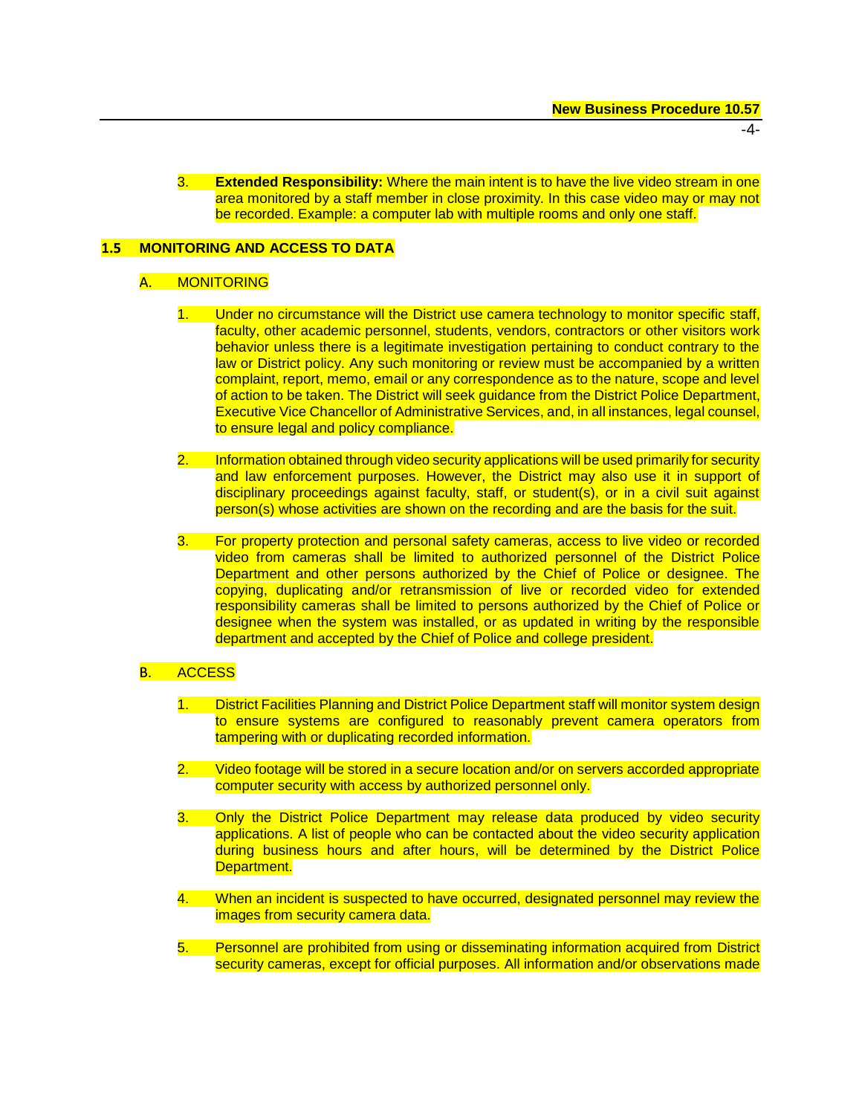-4-

3. **Extended Responsibility:** Where the main intent is to have the live video stream in one area monitored by a staff member in close proximity. In this case video may or may not be recorded. Example: a computer lab with multiple rooms and only one staff.

# **MONITORING AND ACCESS TO DATA**

## A. MONITORING

- 1. Under no circumstance will the District use camera technology to monitor specific staff, faculty, other academic personnel, students, vendors, contractors or other visitors work behavior unless there is a legitimate investigation pertaining to conduct contrary to the law or District policy. Any such monitoring or review must be accompanied by a written complaint, report, memo, email or any correspondence as to the nature, scope and level of action to be taken. The District will seek guidance from the District Police Department, Executive Vice Chancellor of Administrative Services, and, in all instances, legal counsel, to ensure legal and policy compliance.
- 2. Information obtained through video security applications will be used primarily for security and law enforcement purposes. However, the District may also use it in support of disciplinary proceedings against faculty, staff, or student(s), or in a civil suit against person(s) whose activities are shown on the recording and are the basis for the suit.
- 3. For property protection and personal safety cameras, access to live video or recorded video from cameras shall be limited to authorized personnel of the District Police Department and other persons authorized by the Chief of Police or designee. The copying, duplicating and/or retransmission of live or recorded video for extended responsibility cameras shall be limited to persons authorized by the Chief of Police or designee when the system was installed, or as updated in writing by the responsible department and accepted by the Chief of Police and college president.

## **B.** ACCESS

- 1. District Facilities Planning and District Police Department staff will monitor system design to ensure systems are configured to reasonably prevent camera operators from tampering with or duplicating recorded information.
- 2. Video footage will be stored in a secure location and/or on servers accorded appropriate computer security with access by authorized personnel only.
- 3. Only the District Police Department may release data produced by video security applications. A list of people who can be contacted about the video security application during business hours and after hours, will be determined by the District Police Department.
- 4. When an incident is suspected to have occurred, designated personnel may review the images from security camera data.
- 5. Personnel are prohibited from using or disseminating information acquired from District security cameras, except for official purposes. All information and/or observations made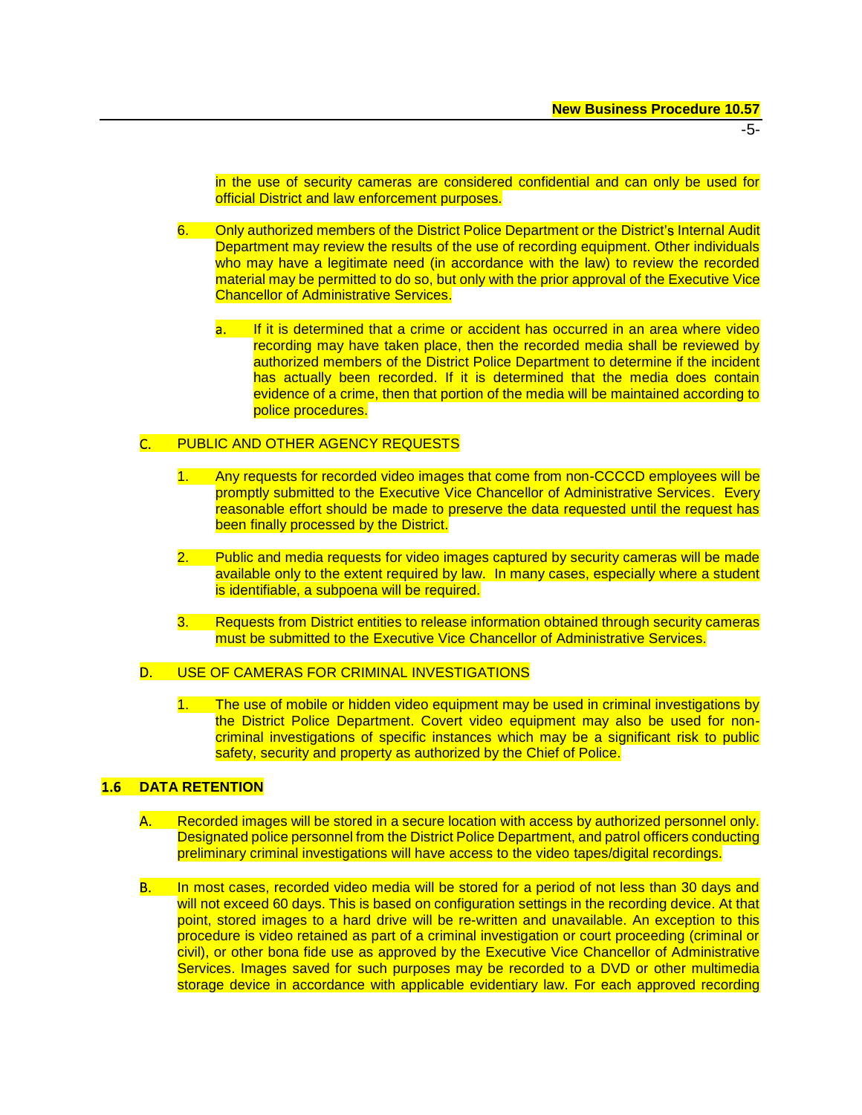in the use of security cameras are considered confidential and can only be used for official District and law enforcement purposes.

- 6. Only authorized members of the District Police Department or the District's Internal Audit Department may review the results of the use of recording equipment. Other individuals who may have a legitimate need (in accordance with the law) to review the recorded material may be permitted to do so, but only with the prior approval of the Executive Vice Chancellor of Administrative Services.
	- If it is determined that a crime or accident has occurred in an area where video a. L recording may have taken place, then the recorded media shall be reviewed by authorized members of the District Police Department to determine if the incident has actually been recorded. If it is determined that the media does contain evidence of a crime, then that portion of the media will be maintained according to police procedures.

#### C. PUBLIC AND OTHER AGENCY REQUESTS

- 1. Any requests for recorded video images that come from non-CCCCD employees will be promptly submitted to the Executive Vice Chancellor of Administrative Services. Every reasonable effort should be made to preserve the data requested until the request has been finally processed by the District.
- 2. Public and media requests for video images captured by security cameras will be made available only to the extent required by law. In many cases, especially where a student is identifiable, a subpoena will be required.
- 3. Requests from District entities to release information obtained through security cameras must be submitted to the Executive Vice Chancellor of Administrative Services.

#### USE OF CAMERAS FOR CRIMINAL INVESTIGATIONS  $D.$

1. The use of mobile or hidden video equipment may be used in criminal investigations by the District Police Department. Covert video equipment may also be used for noncriminal investigations of specific instances which may be a significant risk to public safety, security and property as authorized by the Chief of Police.

# **1.6 DATA RETENTION**

- Recorded images will be stored in a secure location with access by authorized personnel only. **A.** Designated police personnel from the District Police Department, and patrol officers conducting preliminary criminal investigations will have access to the video tapes/digital recordings.
- **B.** In most cases, recorded video media will be stored for a period of not less than 30 days and will not exceed 60 days. This is based on configuration settings in the recording device. At that point, stored images to a hard drive will be re-written and unavailable. An exception to this procedure is video retained as part of a criminal investigation or court proceeding (criminal or civil), or other bona fide use as approved by the Executive Vice Chancellor of Administrative Services. Images saved for such purposes may be recorded to a DVD or other multimedia storage device in accordance with applicable evidentiary law. For each approved recording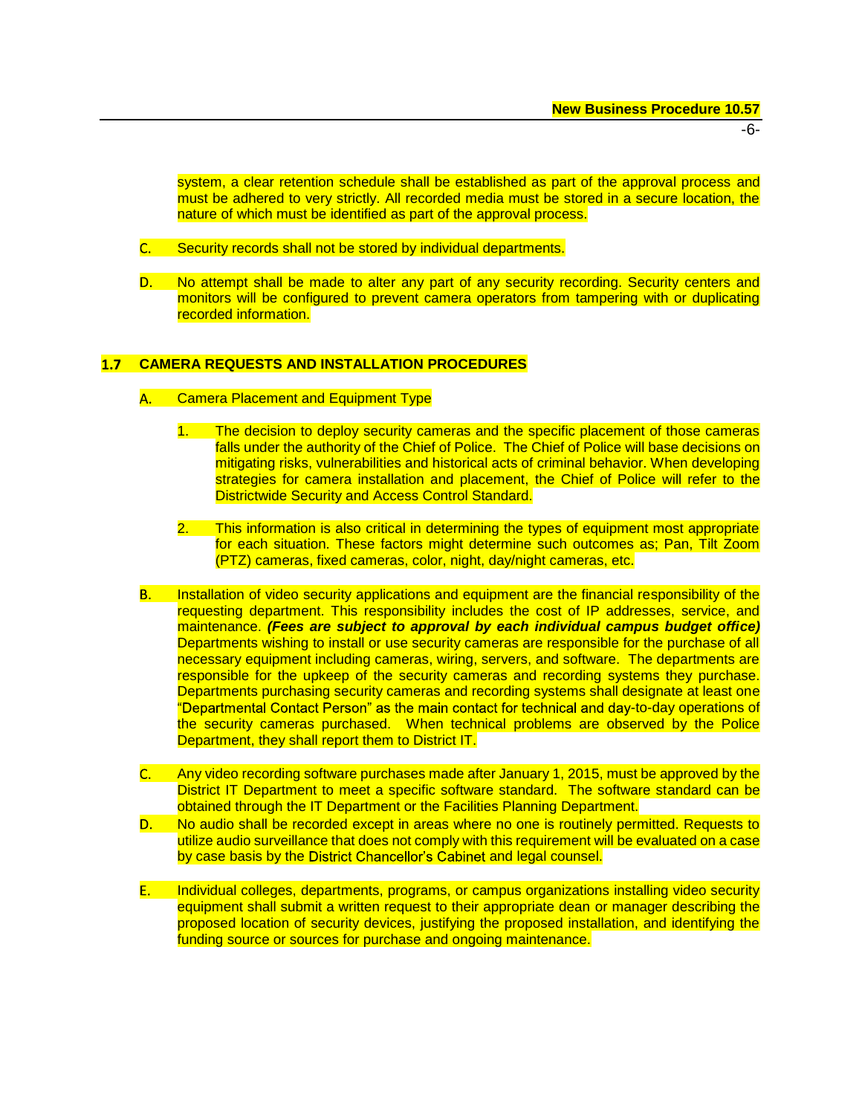-6-

system, a clear retention schedule shall be established as part of the approval process and must be adhered to very strictly. All recorded media must be stored in a secure location, the nature of which must be identified as part of the approval process.

- $\overline{\textsf{C}}$ .  $\overline{\phantom{a}}$ Security records shall not be stored by individual departments.
- No attempt shall be made to alter any part of any security recording. Security centers and  $\mathsf{D}$ . monitors will be configured to prevent camera operators from tampering with or duplicating recorded information.

## **CAMERA REQUESTS AND INSTALLATION PROCEDURES**

- Camera Placement and Equipment Type **A.** 
	- 1. The decision to deploy security cameras and the specific placement of those cameras falls under the authority of the Chief of Police. The Chief of Police will base decisions on mitigating risks, vulnerabilities and historical acts of criminal behavior. When developing strategies for camera installation and placement, the Chief of Police will refer to the Districtwide Security and Access Control Standard.
	- 2. This information is also critical in determining the types of equipment most appropriate for each situation. These factors might determine such outcomes as; Pan, Tilt Zoom (PTZ) cameras, fixed cameras, color, night, day/night cameras, etc.
- **B.** Installation of video security applications and equipment are the financial responsibility of the requesting department. This responsibility includes the cost of IP addresses, service, and maintenance. *(Fees are subject to approval by each individual campus budget office)* Departments wishing to install or use security cameras are responsible for the purchase of all necessary equipment including cameras, wiring, servers, and software. The departments are responsible for the upkeep of the security cameras and recording systems they purchase. Departments purchasing security cameras and recording systems shall designate at least one "Departmental Contact Person" as the main contact for technical and day-to-day operations of the security cameras purchased. When technical problems are observed by the Police Department, they shall report them to District IT.
- $\overline{\textsf{C}}$ .  $\overline{\phantom{a}}$ Any video recording software purchases made after January 1, 2015, must be approved by the District IT Department to meet a specific software standard. The software standard can be obtained through the IT Department or the Facilities Planning Department.
- No audio shall be recorded except in areas where no one is routinely permitted. Requests to **D.** . . . utilize audio surveillance that does not comply with this requirement will be evaluated on a case by case basis by the District Chancellor's Cabinet and legal counsel.
- Individual colleges, departments, programs, or campus organizations installing video security **E.** equipment shall submit a written request to their appropriate dean or manager describing the proposed location of security devices, justifying the proposed installation, and identifying the funding source or sources for purchase and ongoing maintenance.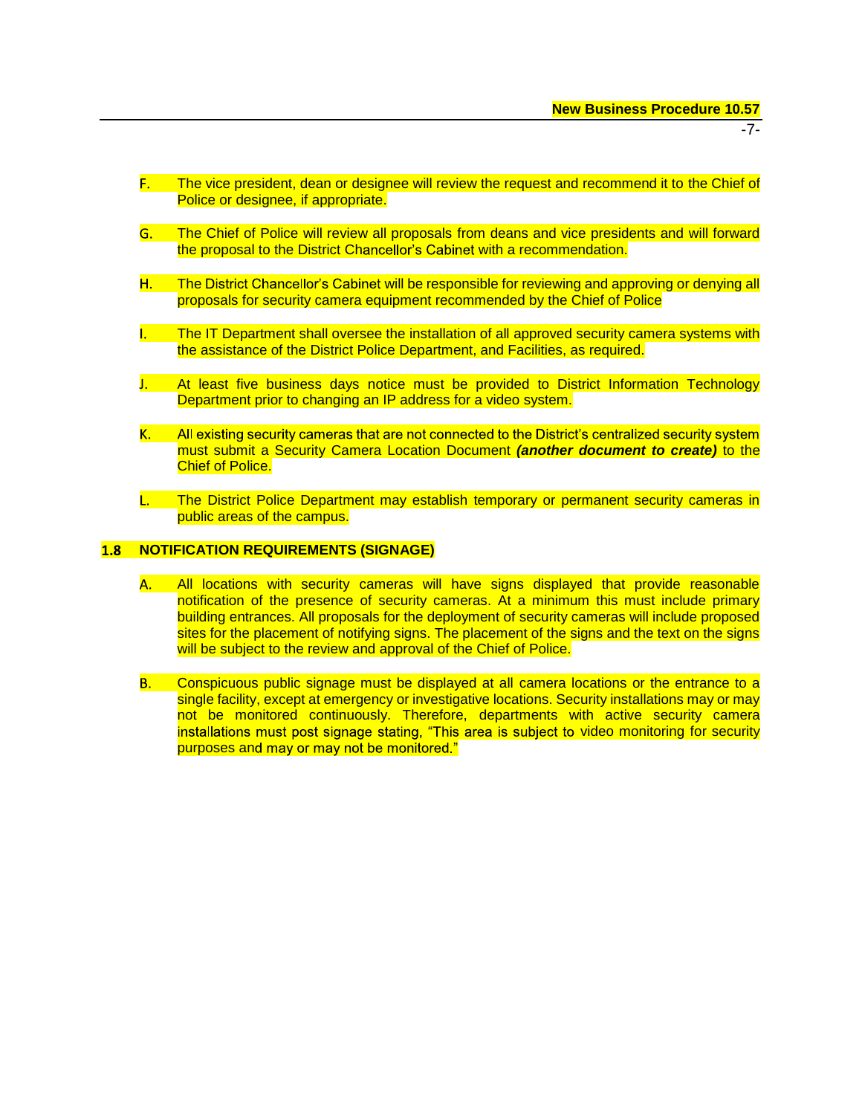- The vice president, dean or designee will review the request and recommend it to the Chief of Police or designee, if appropriate.
- **G.** The Chief of Police will review all proposals from deans and vice presidents and will forward the proposal to the District Chancellor's Cabinet with a recommendation.
- H. . The District Chancellor's Cabinet will be responsible for reviewing and approving or denying all proposals for security camera equipment recommended by the Chief of Police
- The IT Department shall oversee the installation of all approved security camera systems with the assistance of the District Police Department, and Facilities, as required.
- $\mathbf{L}$ At least five business days notice must be provided to District Information Technology Department prior to changing an IP address for a video system.
- **K.** All existing security cameras that are not connected to the District's centralized security system must submit a Security Camera Location Document *(another document to create)* to the Chief of Police.
- **I** and The District Police Department may establish temporary or permanent security cameras in public areas of the campus.

#### $1.8$ **NOTIFICATION REQUIREMENTS (SIGNAGE)**

- **A.** All locations with security cameras will have signs displayed that provide reasonable notification of the presence of security cameras. At a minimum this must include primary building entrances. All proposals for the deployment of security cameras will include proposed sites for the placement of notifying signs. The placement of the signs and the text on the signs will be subject to the review and approval of the Chief of Police.
- **B.** Conspicuous public signage must be displayed at all camera locations or the entrance to a single facility, except at emergency or investigative locations. Security installations may or may not be monitored continuously. Therefore, departments with active security camera installations must post signage stating, "This area is subject to video monitoring for security purposes and may or may not be monitored."